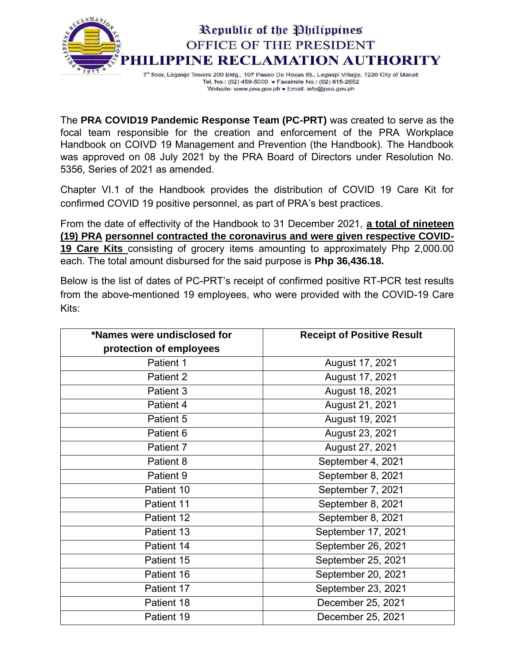

Tel. No.: (02) 459-5000 . Facsimile No.: (02) 815-2662 Website: www.pea.gov.ph . Email: info@pea.gov.ph

The **PRA COVID19 Pandemic Response Team (PC-PRT)** was created to serve as the focal team responsible for the creation and enforcement of the PRA Workplace Handbook on COIVD 19 Management and Prevention (the Handbook). The Handbook was approved on 08 July 2021 by the PRA Board of Directors under Resolution No. 5356, Series of 2021 as amended.

Chapter VI.1 of the Handbook provides the distribution of COVID 19 Care Kit for confirmed COVID 19 positive personnel, as part of PRA's best practices.

From the date of effectivity of the Handbook to 31 December 2021, **a total of nineteen (19) PRA personnel contracted the coronavirus and were given respective COVID-19 Care Kits** consisting of grocery items amounting to approximately Php 2,000.00 each. The total amount disbursed for the said purpose is **Php 36,436.18.**

Below is the list of dates of PC-PRT's receipt of confirmed positive RT-PCR test results from the above-mentioned 19 employees, who were provided with the COVID-19 Care Kits:

| *Names were undisclosed for | <b>Receipt of Positive Result</b> |
|-----------------------------|-----------------------------------|
| protection of employees     |                                   |
| Patient 1                   | August 17, 2021                   |
| Patient 2                   | August 17, 2021                   |
| Patient 3                   | August 18, 2021                   |
| Patient 4                   | August 21, 2021                   |
| Patient 5                   | August 19, 2021                   |
| Patient 6                   | August 23, 2021                   |
| Patient 7                   | August 27, 2021                   |
| Patient 8                   | September 4, 2021                 |
| Patient 9                   | September 8, 2021                 |
| Patient 10                  | September 7, 2021                 |
| Patient 11                  | September 8, 2021                 |
| Patient 12                  | September 8, 2021                 |
| Patient 13                  | September 17, 2021                |
| Patient 14                  | September 26, 2021                |
| Patient 15                  | September 25, 2021                |
| Patient 16                  | September 20, 2021                |
| Patient 17                  | September 23, 2021                |
| Patient 18                  | December 25, 2021                 |
| Patient 19                  | December 25, 2021                 |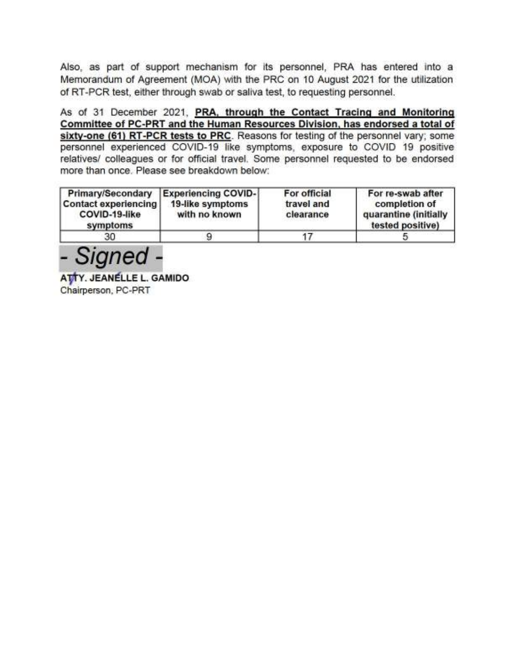Also, as part of support mechanism for its personnel, PRA has entered into a Memorandum of Agreement (MOA) with the PRC on 10 August 2021 for the utilization of RT-PCR test, either through swab or saliva test, to requesting personnel.

As of 31 December 2021, PRA, through the Contact Tracing and Monitoring Committee of PC-PRT and the Human Resources Division, has endorsed a total of sixty-one (61) RT-PCR tests to PRC. Reasons for testing of the personnel vary; some personnel experienced COVID-19 like symptoms, exposure to COVID 19 positive relatives/ colleagues or for official travel. Some personnel requested to be endorsed more than once. Please see breakdown below:

| Primary/Secondary<br>Contact experiencing<br>COVID-19-like<br>symptoms | <b>Experiencing COVID-</b><br>19-like symptoms<br>with no known | For official<br>travel and<br>clearance | For re-swab after<br>completion of<br>quarantine (initially<br>tested positive) |
|------------------------------------------------------------------------|-----------------------------------------------------------------|-----------------------------------------|---------------------------------------------------------------------------------|
| 30                                                                     |                                                                 |                                         |                                                                                 |

- Signed -

ATTY. JEANELLE L. GAMIDO Chairperson, PC-PRT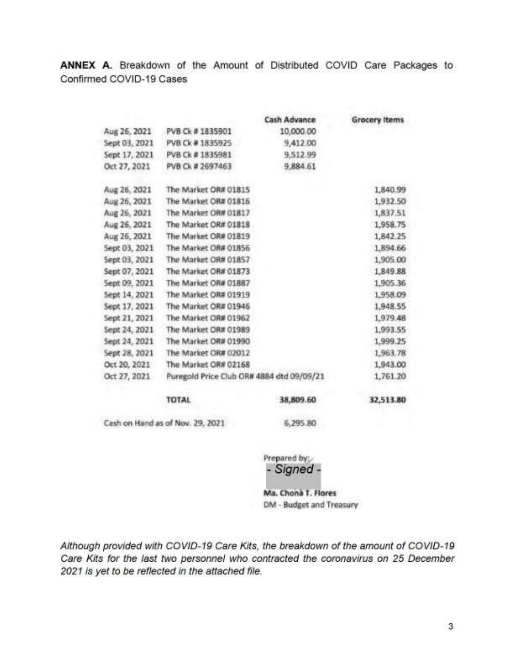ANNEX A. Breakdown of the Amount of Distributed COVID Care Packages to Confirmed COVID-19 Cases

|               |                                           | <b>Cash Advance</b> | <b>Grocery Items</b> |
|---------------|-------------------------------------------|---------------------|----------------------|
| Aug 26, 2021  | PVB Ck #1835901                           | 10,000.00           |                      |
| Sept 03, 2021 | PVB Ck # 1835925                          | 9,412.00            |                      |
| Sept 17, 2021 | PVB Ck # 1835981                          | 9,512.99            |                      |
| Oct 27, 2021  | PVB Ck # 2697463                          | 9,884.61            |                      |
| Aug 26, 2021  | The Market OR# 01815                      |                     | 1,840.99             |
| Aug 26, 2021  | The Market OR# 01816                      |                     | 1,932.50             |
| Aug 26, 2021  | The Market OR# 01817                      |                     | 1,837.51             |
| Aug 26, 2021  | The Market OR# 01818                      |                     | 1,958.75             |
| Aug 26, 2021  | The Market OR# 01819                      |                     | 1,842.25             |
| Sept 03, 2021 | The Market OR# 01856                      |                     | 1,894.66             |
| Sept 03, 2021 | The Market OR# 01857                      |                     | 1,905.00             |
| Sept 07, 2021 | The Market OR# 01873                      |                     | 1,849.88             |
| Sept 09, 2021 | The Market OR# 01887                      |                     | 1,905.36             |
| Sept 14, 2021 | The Market OR# 01919                      |                     | 1,958.09             |
| Sept 17, 2021 | The Market OR# 01946                      |                     | 1,948.55             |
| Sept 21, 2021 | The Market OR# 01962                      |                     | 1,979.48             |
| Sept 24, 2021 | The Market OR# 01989                      |                     | 1,993.55             |
| Sept 24, 2021 | The Market OR# 01990                      |                     | 1,999.25             |
| Sept 28, 2021 | The Market OR# 02012                      |                     | 1,963.78             |
| Oct 20, 2021  | The Market OR# 02168                      |                     | 1,943.00             |
| Oct 27, 2021  | Puregold Price Club OR# 4884 dtd 09/09/21 |                     | 1,761.20             |
|               | <b>TOTAL</b>                              | 38,809.60           | 32,513.80            |
|               |                                           |                     |                      |

Cash on Hand as of Nov. 29, 2021

6,295.80

Prepared by: - Signed -

Ma. Chona T. Flores DM - Budget and Treasury

Although provided with COVID-19 Care Kits, the breakdown of the amount of COVID-19 Care Kits for the last two personnel who contracted the coronavirus on 25 December 2021 is yet to be reflected in the attached file.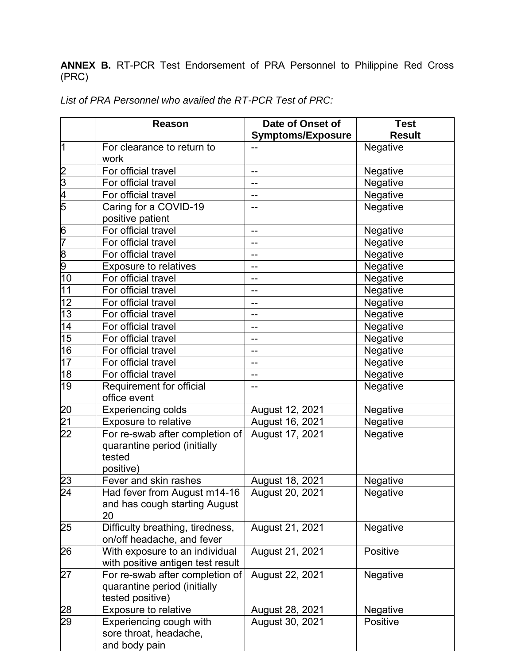**ANNEX B.** RT-PCR Test Endorsement of PRA Personnel to Philippine Red Cross (PRC)

|                 | <b>Reason</b>                                                                       | Date of Onset of         | <b>Test</b>   |
|-----------------|-------------------------------------------------------------------------------------|--------------------------|---------------|
|                 |                                                                                     | <b>Symptoms/Exposure</b> | <b>Result</b> |
| 11              | For clearance to return to                                                          |                          | Negative      |
|                 | work                                                                                |                          |               |
| $\frac{2}{3}$   | For official travel                                                                 | --                       | Negative      |
|                 | For official travel                                                                 | --                       | Negative      |
| $\frac{4}{5}$   | For official travel                                                                 | --                       | Negative      |
|                 | Caring for a COVID-19                                                               |                          | Negative      |
|                 | positive patient                                                                    |                          |               |
| 6               | For official travel                                                                 | --                       | Negative      |
| 7               | For official travel                                                                 | --                       | Negative      |
| $\frac{8}{9}$   | For official travel                                                                 |                          | Negative      |
|                 | <b>Exposure to relatives</b>                                                        | --                       | Negative      |
| 10              | For official travel                                                                 | --                       | Negative      |
| 11              | For official travel                                                                 | --                       | Negative      |
| 12              | For official travel                                                                 | --                       | Negative      |
| 13              | For official travel                                                                 |                          | Negative      |
| 14              | For official travel                                                                 | --                       | Negative      |
| 15              | For official travel                                                                 | --                       | Negative      |
| 16              | For official travel                                                                 | --                       | Negative      |
| 17              | For official travel                                                                 | --                       | Negative      |
| 18              | For official travel                                                                 | --                       | Negative      |
| 19              | Requirement for official                                                            |                          | Negative      |
|                 | office event                                                                        |                          |               |
|                 | <b>Experiencing colds</b>                                                           | August 12, 2021          | Negative      |
| $\frac{20}{21}$ | Exposure to relative                                                                | August 16, 2021          | Negative      |
| $\overline{22}$ | For re-swab after completion of<br>quarantine period (initially<br>tested           | August 17, 2021          | Negative      |
|                 | positive)                                                                           |                          |               |
| $\overline{23}$ | Fever and skin rashes                                                               | August 18, 2021          | Negative      |
| $\overline{24}$ | Had fever from August m14-16                                                        | August 20, 2021          | Negative      |
|                 | and has cough starting August<br>20                                                 |                          |               |
| 25              | Difficulty breathing, tiredness,<br>on/off headache, and fever                      | August 21, 2021          | Negative      |
| 26              | With exposure to an individual<br>with positive antigen test result                 | August 21, 2021          | Positive      |
| 27              | For re-swab after completion of<br>quarantine period (initially<br>tested positive) | August 22, 2021          | Negative      |
| 28              | <b>Exposure to relative</b>                                                         | August 28, 2021          | Negative      |
| 29              | Experiencing cough with<br>sore throat, headache,<br>and body pain                  | August 30, 2021          | Positive      |

List of PRA Personnel who availed the RT-PCR Test of PRC: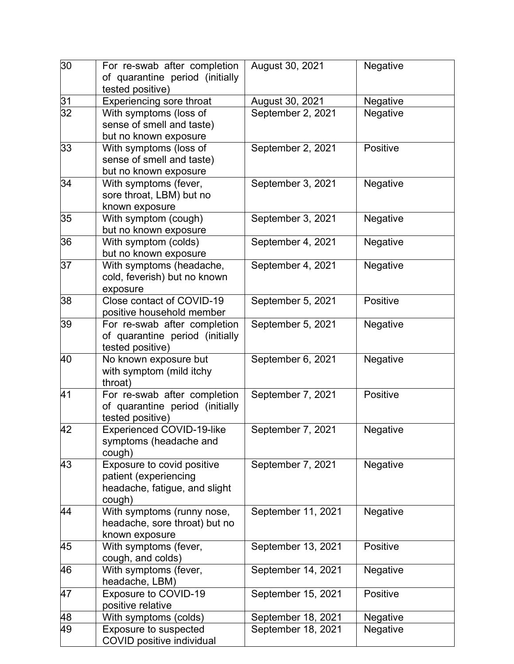| 30 | For re-swab after completion<br>of quarantine period (initially<br>tested positive)            | August 30, 2021    | Negative |
|----|------------------------------------------------------------------------------------------------|--------------------|----------|
| 31 | <b>Experiencing sore throat</b>                                                                | August 30, 2021    | Negative |
| 32 | With symptoms (loss of<br>sense of smell and taste)<br>but no known exposure                   | September 2, 2021  | Negative |
| 33 | With symptoms (loss of<br>sense of smell and taste)<br>but no known exposure                   | September 2, 2021  | Positive |
| 34 | With symptoms (fever,<br>sore throat, LBM) but no<br>known exposure                            | September 3, 2021  | Negative |
| 35 | With symptom (cough)<br>but no known exposure                                                  | September 3, 2021  | Negative |
| 36 | With symptom (colds)<br>but no known exposure                                                  | September 4, 2021  | Negative |
| 37 | With symptoms (headache,<br>cold, feverish) but no known<br>exposure                           | September 4, 2021  | Negative |
| 38 | Close contact of COVID-19<br>positive household member                                         | September 5, 2021  | Positive |
| 39 | For re-swab after completion<br>of quarantine period (initially<br>tested positive)            | September 5, 2021  | Negative |
| 40 | No known exposure but<br>with symptom (mild itchy<br>throat)                                   | September 6, 2021  | Negative |
| 41 | For re-swab after completion<br>of quarantine period (initially<br>tested positive)            | September 7, 2021  | Positive |
| 42 | <b>Experienced COVID-19-like</b><br>symptoms (headache and<br>cough)                           | September 7, 2021  | Negative |
| 43 | Exposure to covid positive<br>patient (experiencing<br>headache, fatigue, and slight<br>cough) | September 7, 2021  | Negative |
| 44 | With symptoms (runny nose,<br>headache, sore throat) but no<br>known exposure                  | September 11, 2021 | Negative |
| 45 | With symptoms (fever,<br>cough, and colds)                                                     | September 13, 2021 | Positive |
| 46 | With symptoms (fever,<br>headache, LBM)                                                        | September 14, 2021 | Negative |
| 47 | <b>Exposure to COVID-19</b><br>positive relative                                               | September 15, 2021 | Positive |
| 48 | With symptoms (colds)                                                                          | September 18, 2021 | Negative |
| 49 | <b>Exposure to suspected</b><br><b>COVID positive individual</b>                               | September 18, 2021 | Negative |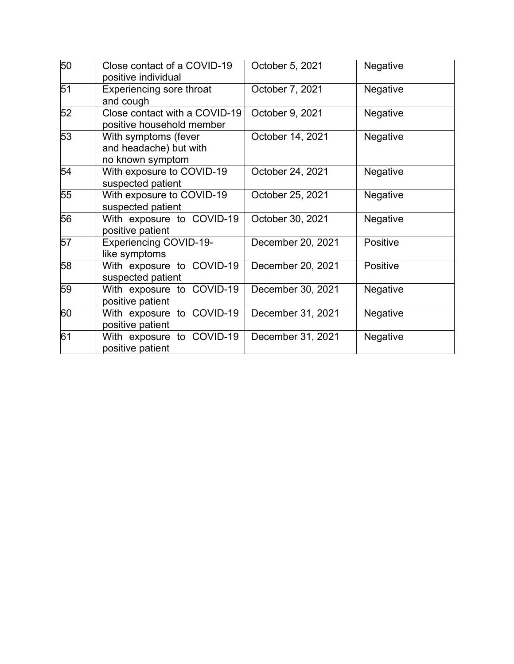| 50 | Close contact of a COVID-19<br>positive individual                 | October 5, 2021   | Negative        |
|----|--------------------------------------------------------------------|-------------------|-----------------|
| 51 | Experiencing sore throat<br>and cough                              | October 7, 2021   | Negative        |
| 52 | Close contact with a COVID-19<br>positive household member         | October 9, 2021   | Negative        |
| 53 | With symptoms (fever<br>and headache) but with<br>no known symptom | October 14, 2021  | Negative        |
| 54 | With exposure to COVID-19<br>suspected patient                     | October 24, 2021  | <b>Negative</b> |
| 55 | With exposure to COVID-19<br>suspected patient                     | October 25, 2021  | Negative        |
| 56 | With exposure to COVID-19<br>positive patient                      | October 30, 2021  | <b>Negative</b> |
| 57 | <b>Experiencing COVID-19-</b><br>like symptoms                     | December 20, 2021 | Positive        |
| 58 | With exposure to COVID-19<br>suspected patient                     | December 20, 2021 | Positive        |
| 59 | With exposure to COVID-19<br>positive patient                      | December 30, 2021 | Negative        |
| 60 | With exposure to COVID-19<br>positive patient                      | December 31, 2021 | Negative        |
| 61 | With exposure to COVID-19<br>positive patient                      | December 31, 2021 | Negative        |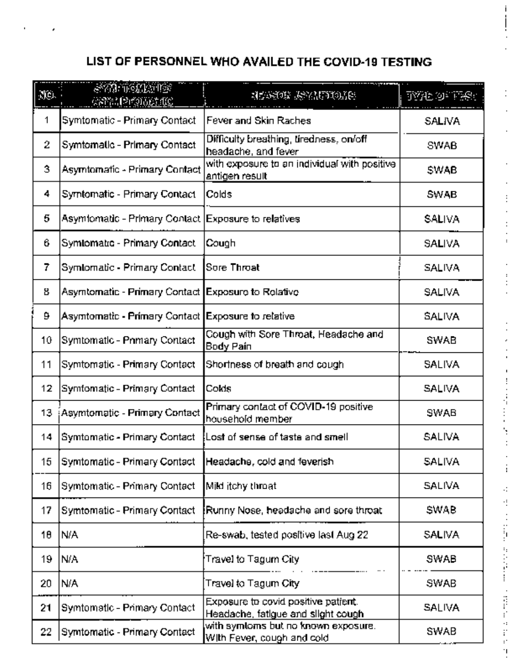## LIST OF PERSONNEL WHO AVAILED THE COVID-19 TESTING

| Nei. | SVI TELETS<br>483319191861.102                       | MEANING ANGLETING                                                             | TYPE OF THREE |
|------|------------------------------------------------------|-------------------------------------------------------------------------------|---------------|
| 1    | Symtomatic - Primary Contact                         | Fever and Skin Raches                                                         | SALIVA        |
| 2    | Symtomatic - Primary Contact                         | Difficulty breathing, tiredness, on/off.<br>headache, and fever               | SWAB          |
| 3    | Asymtomatic - Primary Contact                        | with exposure to an individual with positive<br>antigen res⊔lt                | SWAB          |
| 4    | Symtomatic - Primary Contact                         | Colds                                                                         | SWAB          |
| 5    | Asymtomatic - Primary Contact                        | Exposure to relatives                                                         | SALIVA        |
| 6    | Symlomatic - Primary Contact                         | Cough                                                                         | SALIVA        |
| 7    | Symlomatic - Primary Contact                         | Sore Throat                                                                   | <b>SALIVA</b> |
| 8    | Asymtomatic - Primary Contact   Exposure to Relative |                                                                               | SALIVA        |
| 9    | Asymtomatic - Primary Contact Exposure to relative   |                                                                               | <b>SALIVA</b> |
| 10   | Symtomatic - Primary Contact                         | Cough with Sore Throat, Headache and<br>Body Pain                             | SWAB          |
| 11   | Symtomatic - Primary Contact                         | Shortness of breath and cough                                                 | SALIVA        |
| 12   | Symfomatic - Primary Contact                         | Colds                                                                         | SALIVA        |
| 13   | Asymtomatic - Primary Contact                        | Primary contact of COVID-19 positive<br>household member                      | SWAB          |
| 14   | Symtomatic - Primary Contact                         | Lost of sense of taste and smell                                              | SALIVA        |
| 15   | Symtomatic - Primary Contact                         | Headache, cold and feverish                                                   | SALIVA        |
| 16   | Symtomatic - Primary Contact                         | Mild itchy throat                                                             | <b>SALIVA</b> |
| 17   | Symtomatic - Primary Contact                         | Runny Nose, headache and sore throat                                          | SWAB          |
| 10   | N/A                                                  | Re-swab, tested positive last Aug 22.                                         | SALIVA        |
| 19.  | N/A                                                  | Travel to Tagum City.                                                         | SWAB          |
| 20   | N/A                                                  | Travel to Tagum City.                                                         | SWAB          |
| 21   | Symtomatic - Primary Contact                         | Exposure to covid positive patient.<br>Headache, fatigue and slight cough,    | SALIVA        |
| 22   | Symtomatic - Primary Contact                         | with symtoms but no known exposure. <b>With</b><br>With Fever, cough and cold | SWAB          |

 $\ddot{\phantom{a}}$ 

ł

۷

÷

 $\cdot$ đ

**CHANGE** 

Ţ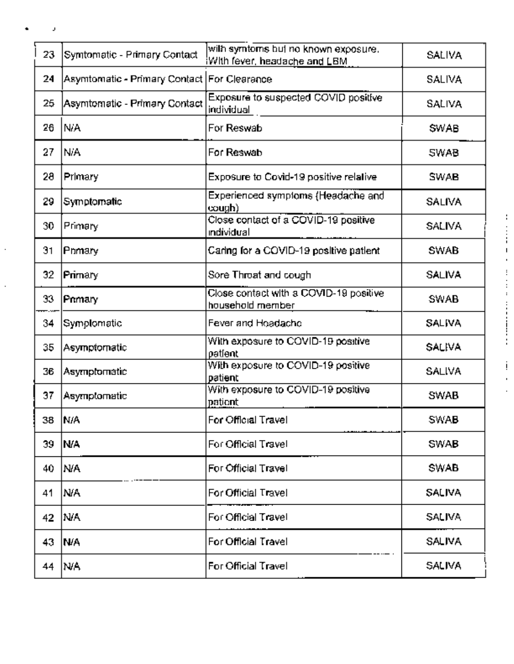| 23  | Symtomatic - Primary Contact                   | with symtoms but no known exposure.<br>With fever, headache and LBM, | <b>SALIVA</b> |
|-----|------------------------------------------------|----------------------------------------------------------------------|---------------|
| 24  | Asymtomatic - Primary Contact   For Clearance, |                                                                      | SALIVA        |
| 25  | Asymtomatic - Primary Contact                  | Exposure to suspected COVID positive<br>individual                   | SALIVA        |
| 26  | N/A                                            | For Reswab                                                           | <b>SWAB</b>   |
| 27  | N/A                                            | For Reswab                                                           | <b>SWAB</b>   |
| 28  | Primary                                        | Exposure to Covid-19 positive relative                               | SWAB          |
| 29  | Symptomatic                                    | Experienced symptoms (Headache and<br>cough).                        | <b>SALIVA</b> |
| 30  | Primary                                        | Close contact of a COVID-19 positive<br>ındividual                   | <b>SALIVA</b> |
| 31  | Pnmary                                         | Caring for a COVID-19 positive patient                               | SWAB          |
| 32  | Primary                                        | Sore Throat and cough,                                               | <b>SALIVA</b> |
| 33  | Primary                                        | Close contact with a COVID-19 positive<br>household member           | SWAB          |
| 34  | Symplomatic                                    | Fever and Hoadacho                                                   | SALIVA        |
| 35  | Asymptomatic                                   | With exposure to COVID-19 positive<br>patient                        | SALIVA        |
| 36  | Asymptomatic                                   | With exposure to COVID-19 positive<br>patient                        | <b>SALIVA</b> |
| 37  | Asymptomatic                                   | With exposure to COVID-19 positive<br>patient                        | SWAB          |
| 38  | N/A                                            | For Official Travel                                                  | SWAB          |
| 39. | IN/A                                           | For Official Travel                                                  | SWAB          |
| 40. | IN/A                                           | For Official Travel                                                  | SWAB          |
| 41  | N/A                                            | For Official Travel                                                  | SALIVA        |
| 42  | IN/A                                           | For Official Travel                                                  | SALIVA        |
| 43. | IN/A                                           | For Official Travel                                                  | <b>SALIVA</b> |
| 44  | INA.                                           | For Official Travel                                                  | SALIVA        |

 $\label{eq:3.1} \frac{1}{2} \left( \begin{array}{ccc} 1 & 0 & 0 & 0 \\ 0 & 0 & 0 & 0 \\ 0 & 0 & 0 & 0 \\ 0 & 0 & 0 & 0 \\ 0 & 0 & 0 & 0 \\ 0 & 0 & 0 & 0 \\ 0 & 0 & 0 & 0 \\ 0 & 0 & 0 & 0 \\ 0 & 0 & 0 & 0 \\ 0 & 0 & 0 & 0 \\ 0 & 0 & 0 & 0 & 0 \\ 0 & 0 & 0 & 0 & 0 \\ 0 & 0 & 0 & 0 & 0 \\ 0 & 0 & 0 & 0 & 0 \\ 0 & 0 & 0 & 0 & 0$ 

į í,  $\ddot{\phantom{a}}$ 

J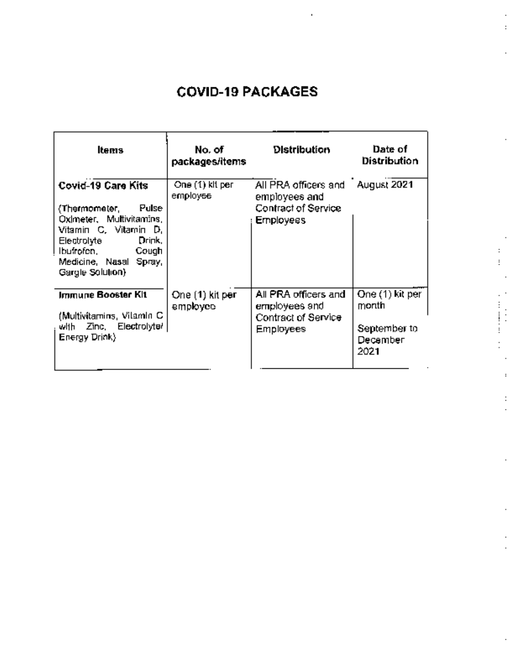## **COVID-19 PACKAGES**

.

:

÷  $\vdots$ į.

 $\ddot{\phantom{a}}$ 

÷

| ltems                                                                                                                                                                                           | No. of<br>packages/items      | <b>Distribution</b>                                                              | Date of<br><b>Distribution</b>                               |
|-------------------------------------------------------------------------------------------------------------------------------------------------------------------------------------------------|-------------------------------|----------------------------------------------------------------------------------|--------------------------------------------------------------|
| Covid-19 Care Kits<br>Pulse<br>(Thermometer,<br>Oximeter, Multivitamins,<br>Vitamin C, Vitamin D,<br>Drink,<br>Electrolyte<br>lbufrofen,<br>Cough<br>Medicine, Nasal Spray,<br>Gargle Solution) | One (1) kit per l<br>employee | All PRA officers and<br>employees and<br>Contract of Service<br><b>Employees</b> | <b>August 2021</b>                                           |
| Immune Booster Kit<br>(Multivitamins, Vitamin C.<br>with Zinc, Electrolyte/<br>Energy Drink)                                                                                                    | One (1) kit per<br>employee   | All PRA officers and<br>employees and<br>Contract of Service<br><b>Employees</b> | One (1) kit per<br>month<br>September to<br>December<br>2021 |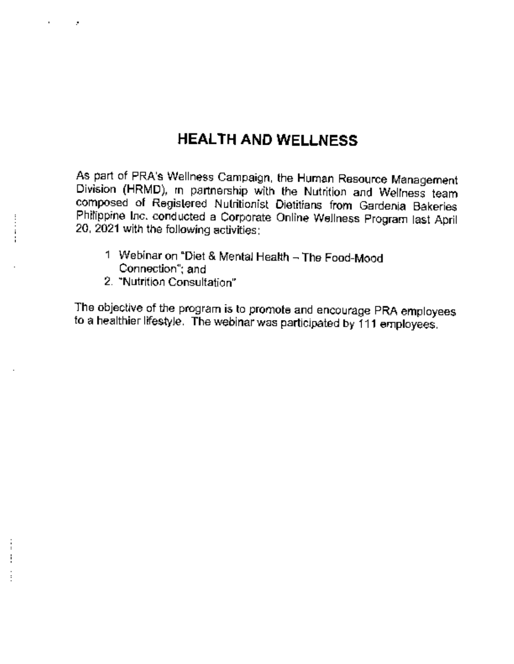## HEALTH AND WELLNESS

As part of PRA's Wellness Campaign, the Human Resource Management Division (HRMD), in partnership with the Nutrition and Wellness team composed of Registered Nutritionist Dietitians from Gardenia Bakeries Philippine Inc. conducted a Corporate Online Wellness Program last April 20, 2021 with the following activities:

- 1 Webinar on "Diet & Mental Health The Food-Mood Connection"; and
- 2. "Nutrition Consultation"

×

 $\mathbf i$ 

The objective of the program is to promote and encourage PRA employees to a healthier lifestyle. The webinar was participated by 111 employees.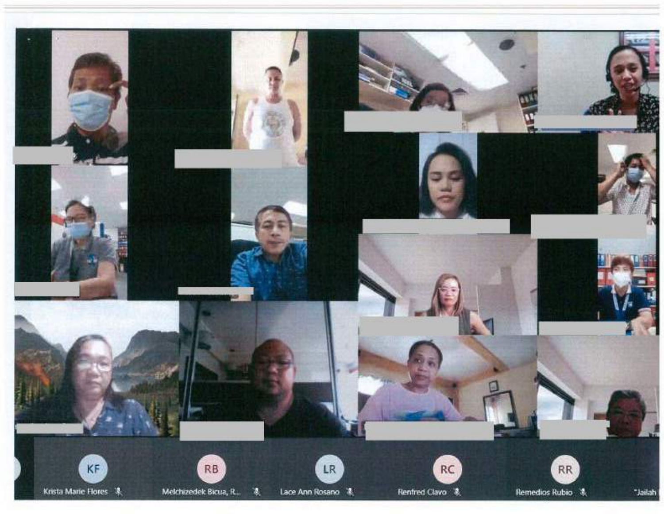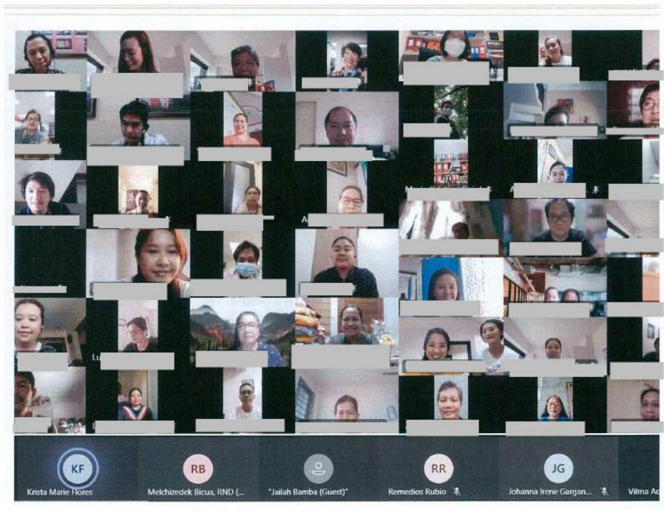